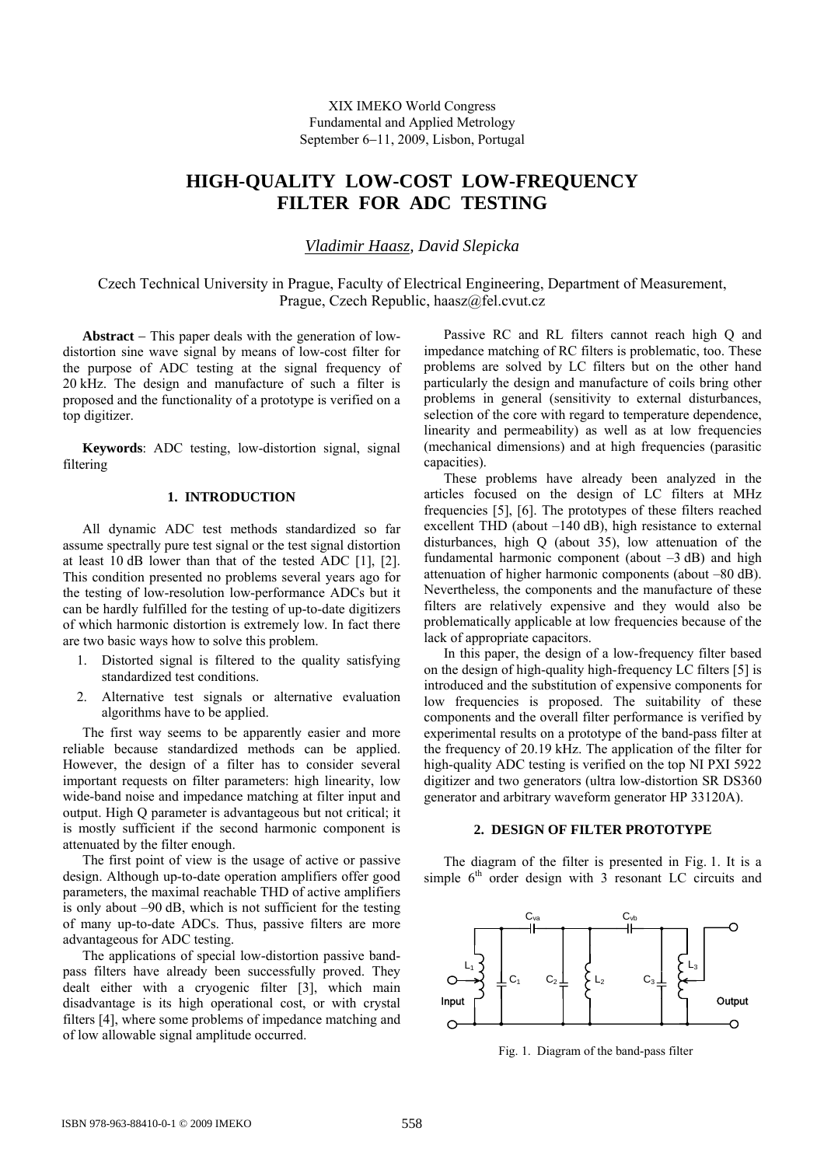XIX IMEKO World Congress Fundamental and Applied Metrology September 6−11, 2009, Lisbon, Portugal

# **HIGH-QUALITY LOW-COST LOW-FREQUENCY FILTER FOR ADC TESTING**

*Vladimir Haasz, David Slepicka* 

Czech Technical University in Prague, Faculty of Electrical Engineering, Department of Measurement, Prague, Czech Republic, haasz@fel.cvut.cz

**Abstract** − This paper deals with the generation of lowdistortion sine wave signal by means of low-cost filter for the purpose of ADC testing at the signal frequency of 20 kHz. The design and manufacture of such a filter is proposed and the functionality of a prototype is verified on a top digitizer.

**Keywords**: ADC testing, low-distortion signal, signal filtering

# **1. INTRODUCTION**

All dynamic ADC test methods standardized so far assume spectrally pure test signal or the test signal distortion at least 10 dB lower than that of the tested ADC [1], [2]. This condition presented no problems several years ago for the testing of low-resolution low-performance ADCs but it can be hardly fulfilled for the testing of up-to-date digitizers of which harmonic distortion is extremely low. In fact there are two basic ways how to solve this problem.

- 1. Distorted signal is filtered to the quality satisfying standardized test conditions.
- 2. Alternative test signals or alternative evaluation algorithms have to be applied.

The first way seems to be apparently easier and more reliable because standardized methods can be applied. However, the design of a filter has to consider several important requests on filter parameters: high linearity, low wide-band noise and impedance matching at filter input and output. High Q parameter is advantageous but not critical; it is mostly sufficient if the second harmonic component is attenuated by the filter enough.

The first point of view is the usage of active or passive design. Although up-to-date operation amplifiers offer good parameters, the maximal reachable THD of active amplifiers is only about –90 dB, which is not sufficient for the testing of many up-to-date ADCs. Thus, passive filters are more advantageous for ADC testing.

The applications of special low-distortion passive bandpass filters have already been successfully proved. They dealt either with a cryogenic filter [3], which main disadvantage is its high operational cost, or with crystal filters [4], where some problems of impedance matching and of low allowable signal amplitude occurred.

Passive RC and RL filters cannot reach high Q and impedance matching of RC filters is problematic, too. These problems are solved by LC filters but on the other hand particularly the design and manufacture of coils bring other problems in general (sensitivity to external disturbances, selection of the core with regard to temperature dependence, linearity and permeability) as well as at low frequencies (mechanical dimensions) and at high frequencies (parasitic capacities).

These problems have already been analyzed in the articles focused on the design of LC filters at MHz frequencies [5], [6]. The prototypes of these filters reached excellent THD (about –140 dB), high resistance to external disturbances, high Q (about 35), low attenuation of the fundamental harmonic component (about  $-3$  dB) and high attenuation of higher harmonic components (about –80 dB). Nevertheless, the components and the manufacture of these filters are relatively expensive and they would also be problematically applicable at low frequencies because of the lack of appropriate capacitors.

In this paper, the design of a low-frequency filter based on the design of high-quality high-frequency LC filters [5] is introduced and the substitution of expensive components for low frequencies is proposed. The suitability of these components and the overall filter performance is verified by experimental results on a prototype of the band-pass filter at the frequency of 20.19 kHz. The application of the filter for high-quality ADC testing is verified on the top NI PXI 5922 digitizer and two generators (ultra low-distortion SR DS360 generator and arbitrary waveform generator HP 33120A).

## **2. DESIGN OF FILTER PROTOTYPE**

The diagram of the filter is presented in Fig. 1. It is a simple  $6<sup>th</sup>$  order design with 3 resonant LC circuits and



Fig. 1. Diagram of the band-pass filter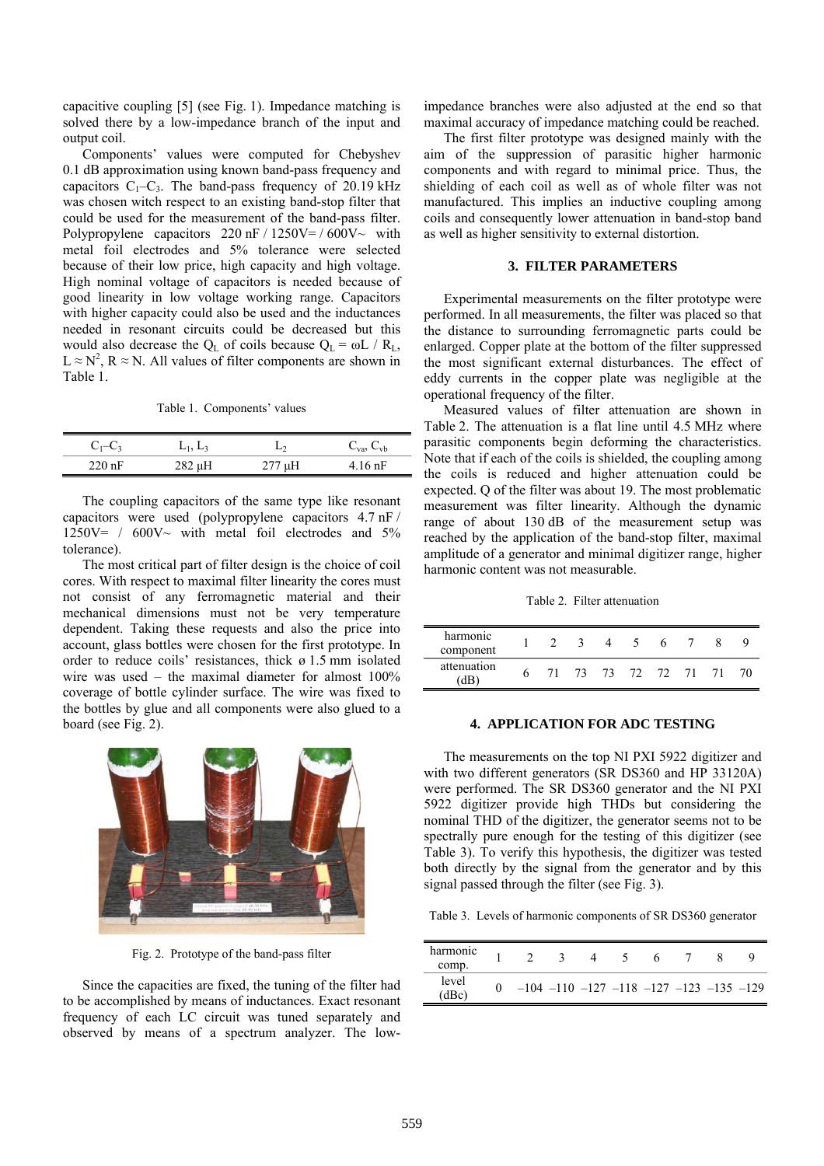capacitive coupling [5] (see Fig. 1). Impedance matching is solved there by a low-impedance branch of the input and output coil.

Components' values were computed for Chebyshev 0.1 dB approximation using known band-pass frequency and capacitors  $C_1-C_3$ . The band-pass frequency of 20.19 kHz was chosen witch respect to an existing band-stop filter that could be used for the measurement of the band-pass filter. Polypropylene capacitors  $220 \text{ nF} / 1250 \text{V} = / 600 \text{V}$  with metal foil electrodes and 5% tolerance were selected because of their low price, high capacity and high voltage. High nominal voltage of capacitors is needed because of good linearity in low voltage working range. Capacitors with higher capacity could also be used and the inductances needed in resonant circuits could be decreased but this would also decrease the  $Q_L$  of coils because  $Q_L = \omega L / R_L$ ,  $L \approx N^2$ ,  $R \approx N$ . All values of filter components are shown in Table 1.

Table 1. Components' values

| $C_1 - C_3$ | $L_1, L_3$  |        | $C_{\text{va}}$ , $C_{\text{vb}}$ |
|-------------|-------------|--------|-----------------------------------|
| $220$ nF    | $282 \mu H$ | 277 µH | $4.16$ nF                         |

The coupling capacitors of the same type like resonant capacitors were used (polypropylene capacitors 4.7 nF /  $1250V = / 600V \sim$  with metal foil electrodes and 5% tolerance).

The most critical part of filter design is the choice of coil cores. With respect to maximal filter linearity the cores must not consist of any ferromagnetic material and their mechanical dimensions must not be very temperature dependent. Taking these requests and also the price into account, glass bottles were chosen for the first prototype. In order to reduce coils' resistances, thick ø 1.5 mm isolated wire was used – the maximal diameter for almost 100% coverage of bottle cylinder surface. The wire was fixed to the bottles by glue and all components were also glued to a board (see Fig. 2).



Fig. 2. Prototype of the band-pass filter

Since the capacities are fixed, the tuning of the filter had to be accomplished by means of inductances. Exact resonant frequency of each LC circuit was tuned separately and observed by means of a spectrum analyzer. The lowimpedance branches were also adjusted at the end so that maximal accuracy of impedance matching could be reached.

The first filter prototype was designed mainly with the aim of the suppression of parasitic higher harmonic components and with regard to minimal price. Thus, the shielding of each coil as well as of whole filter was not manufactured. This implies an inductive coupling among coils and consequently lower attenuation in band-stop band as well as higher sensitivity to external distortion.

#### **3. FILTER PARAMETERS**

Experimental measurements on the filter prototype were performed. In all measurements, the filter was placed so that the distance to surrounding ferromagnetic parts could be enlarged. Copper plate at the bottom of the filter suppressed the most significant external disturbances. The effect of eddy currents in the copper plate was negligible at the operational frequency of the filter.

Measured values of filter attenuation are shown in Table 2. The attenuation is a flat line until 4.5 MHz where parasitic components begin deforming the characteristics. Note that if each of the coils is shielded, the coupling among the coils is reduced and higher attenuation could be expected. Q of the filter was about 19. The most problematic measurement was filter linearity. Although the dynamic range of about 130 dB of the measurement setup was reached by the application of the band-stop filter, maximal amplitude of a generator and minimal digitizer range, higher harmonic content was not measurable.

Table 2. Filter attenuation

| harmonic    |   |    |               |    |     |  |
|-------------|---|----|---------------|----|-----|--|
| component   |   |    | $\mathcal{D}$ | h. |     |  |
| attenuation | h | 73 | 73 72 72      |    | 71. |  |

## **4. APPLICATION FOR ADC TESTING**

The measurements on the top NI PXI 5922 digitizer and with two different generators (SR DS360 and HP 33120A) were performed. The SR DS360 generator and the NI PXI 5922 digitizer provide high THDs but considering the nominal THD of the digitizer, the generator seems not to be spectrally pure enough for the testing of this digitizer (see Table 3). To verify this hypothesis, the digitizer was tested both directly by the signal from the generator and by this signal passed through the filter (see Fig. 3).

Table 3. Levels of harmonic components of SR DS360 generator

| harmonic<br>comp. |  |  |                                                         |  |  |
|-------------------|--|--|---------------------------------------------------------|--|--|
| level<br>(dBc)    |  |  | $-104$ $-110$ $-127$ $-118$ $-127$ $-123$ $-135$ $-129$ |  |  |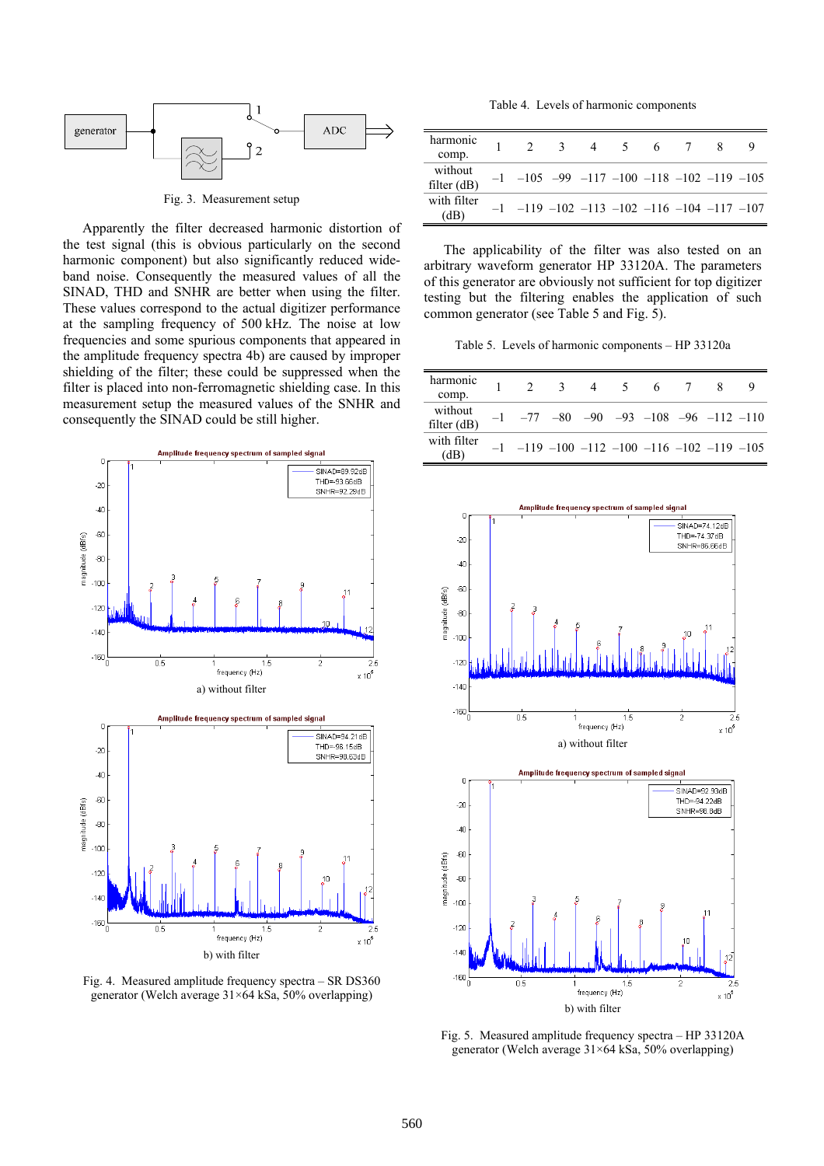

Fig. 3. Measurement setup

Apparently the filter decreased harmonic distortion of the test signal (this is obvious particularly on the second harmonic component) but also significantly reduced wideband noise. Consequently the measured values of all the SINAD, THD and SNHR are better when using the filter. These values correspond to the actual digitizer performance at the sampling frequency of 500 kHz. The noise at low frequencies and some spurious components that appeared in the amplitude frequency spectra 4b) are caused by improper shielding of the filter; these could be suppressed when the filter is placed into non-ferromagnetic shielding case. In this measurement setup the measured values of the SNHR and consequently the SINAD could be still higher.



Fig. 4. Measured amplitude frequency spectra – SR DS360 generator (Welch average 31×64 kSa, 50% overlapping)

Table 4. Levels of harmonic components

| harmonic<br>comp.        |                                                              | $\mathcal{R}$ | 4 5 | 6 |  |  |
|--------------------------|--------------------------------------------------------------|---------------|-----|---|--|--|
| without<br>filter $(dB)$ | $-1$ $-105$ $-99$ $-117$ $-100$ $-118$ $-102$ $-119$ $-105$  |               |     |   |  |  |
| with filter<br>(dB)      | $-1$ $-119$ $-102$ $-113$ $-102$ $-116$ $-104$ $-117$ $-107$ |               |     |   |  |  |

The applicability of the filter was also tested on an arbitrary waveform generator HP 33120A. The parameters of this generator are obviously not sufficient for top digitizer testing but the filtering enables the application of such common generator (see Table 5 and Fig. 5).

Table 5. Levels of harmonic components – HP 33120a

| harmonic<br>comp.     |                                                              | 3 | 4 | $\sqrt{5}$ | 6 |  |  |
|-----------------------|--------------------------------------------------------------|---|---|------------|---|--|--|
| without<br>filter(dB) | $-1$ $-77$ $-80$ $-90$ $-93$ $-108$ $-96$ $-112$ $-110$      |   |   |            |   |  |  |
| with filter<br>(dB)   | $-1$ $-119$ $-100$ $-112$ $-100$ $-116$ $-102$ $-119$ $-105$ |   |   |            |   |  |  |



 $\overline{a}$  $SINAD=92.93dB$ THD=-94.22dB<br>SNHR=98.8dB  $-20$  $-40$ .<br>SD magnitude (dBfs)  $-80$  $-100$  $.120$  $-1.40$  $-160\binom{1}{0}$  $\overline{0.5}$ 5  $\overline{25}$ frequency (Hz)  $\times 10^5$ b) with filter

Fig. 5. Measured amplitude frequency spectra – HP 33120A generator (Welch average 31×64 kSa, 50% overlapping)